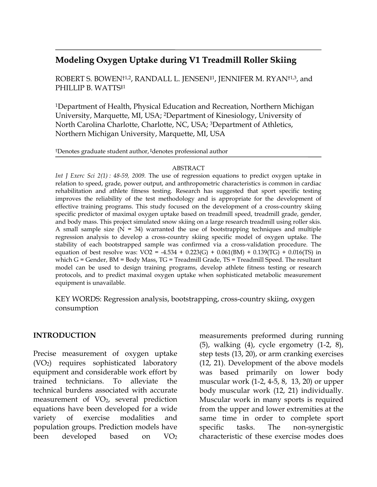# **Modeling Oxygen Uptake during V1 Treadmill Roller Skiing**

ROBERT S. BOWEN<sup>†1,2</sup>, RANDALL L. JENSEN<sup>‡1</sup>, JENNIFER M. RYAN<sup>†1,3</sup>, and PHILLIP B. WATTS<sup>#1</sup>

1Department of Health, Physical Education and Recreation, Northern Michigan University, Marquette, MI, USA; 2Department of Kinesiology, University of North Carolina Charlotte, Charlotte, NC, USA; 3Department of Athletics, Northern Michigan University, Marquette, MI, USA

†Denotes graduate student author, ‡denotes professional author

#### ABSTRACT

*Int J Exerc Sci 2(1) : 48-59, 2009.* The use of regression equations to predict oxygen uptake in relation to speed, grade, power output, and anthropometric characteristics is common in cardiac rehabilitation and athlete fitness testing. Research has suggested that sport specific testing improves the reliability of the test methodology and is appropriate for the development of effective training programs. This study focused on the development of a cross-country skiing specific predictor of maximal oxygen uptake based on treadmill speed, treadmill grade, gender, and body mass. This project simulated snow skiing on a large research treadmill using roller skis. A small sample size  $(N = 34)$  warranted the use of bootstrapping techniques and multiple regression analysis to develop a cross-country skiing specific model of oxygen uptake. The stability of each bootstrapped sample was confirmed via a cross-validation procedure. The equation of best resolve was:  $VO2 = -4.534 + 0.223(G) + 0.061(BM) + 0.139(TG) + 0.016(TS)$  in which G = Gender, BM = Body Mass, TG = Treadmill Grade, TS = Treadmill Speed. The resultant model can be used to design training programs, develop athlete fitness testing or research protocols, and to predict maximal oxygen uptake when sophisticated metabolic measurement equipment is unavailable.

KEY WORDS: Regression analysis, bootstrapping, cross-country skiing, oxygen consumption

#### **INTRODUCTION**

Precise measurement of oxygen uptake (VO2) requires sophisticated laboratory equipment and considerable work effort by trained technicians. To alleviate the technical burdens associated with accurate measurement of  $VO<sub>2</sub>$ , several prediction equations have been developed for a wide variety of exercise modalities and population groups. Prediction models have been developed based on VO<sub>2</sub>

measurements preformed during running (5), walking (4), cycle ergometry (1-2, 8), step tests (13, 20), or arm cranking exercises (12, 21). Development of the above models was based primarily on lower body muscular work (1-2, 4-5, 8, 13, 20) or upper body muscular work (12, 21) individually. Muscular work in many sports is required from the upper and lower extremities at the same time in order to complete sport specific tasks. The non-synergistic characteristic of these exercise modes does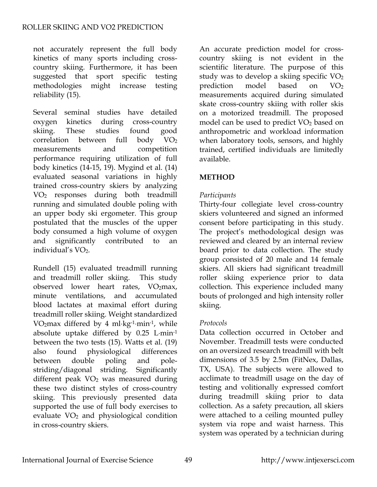not accurately represent the full body kinetics of many sports including crosscountry skiing. Furthermore, it has been suggested that sport specific testing methodologies might increase testing reliability (15).

Several seminal studies have detailed oxygen kinetics during cross-country skiing. These studies found good correlation between full body  $VO<sub>2</sub>$ measurements and competition performance requiring utilization of full body kinetics (14-15, 19). Mygind et al. (14) evaluated seasonal variations in highly trained cross-country skiers by analyzing VO2 responses during both treadmill running and simulated double poling with an upper body ski ergometer. This group postulated that the muscles of the upper body consumed a high volume of oxygen and significantly contributed to an individual's VO<sub>2</sub>.

Rundell (15) evaluated treadmill running and treadmill roller skiing. This study observed lower heart rates,  $VO<sub>2</sub>max$ , minute ventilations, and accumulated blood lactates at maximal effort during treadmill roller skiing. Weight standardized VO2max differed by 4 ml⋅kg-1⋅min-1, while absolute uptake differed by 0.25 L⋅min-1 between the two tests (15). Watts et al. (19) also found physiological differences between double poling and polestriding/diagonal striding. Significantly different peak  $VO<sub>2</sub>$  was measured during these two distinct styles of cross-country skiing. This previously presented data supported the use of full body exercises to evaluate VO<sub>2</sub> and physiological condition in cross-country skiers.

An accurate prediction model for crosscountry skiing is not evident in the scientific literature. The purpose of this study was to develop a skiing specific  $VO<sub>2</sub>$ prediction model based on  $VO<sub>2</sub>$ measurements acquired during simulated skate cross-country skiing with roller skis on a motorized treadmill. The proposed model can be used to predict  $VO<sub>2</sub>$  based on anthropometric and workload information when laboratory tools, sensors, and highly trained, certified individuals are limitedly available.

## **METHOD**

# *Participants*

Thirty-four collegiate level cross-country skiers volunteered and signed an informed consent before participating in this study. The project's methodological design was reviewed and cleared by an internal review board prior to data collection. The study group consisted of 20 male and 14 female skiers. All skiers had significant treadmill roller skiing experience prior to data collection. This experience included many bouts of prolonged and high intensity roller skiing.

## *Protocols*

Data collection occurred in October and November. Treadmill tests were conducted on an oversized research treadmill with belt dimensions of 3.5 by 2.5m (FitNex, Dallas, TX, USA). The subjects were allowed to acclimate to treadmill usage on the day of testing and volitionally expressed comfort during treadmill skiing prior to data collection. As a safety precaution, all skiers were attached to a ceiling mounted pulley system via rope and waist harness. This system was operated by a technician during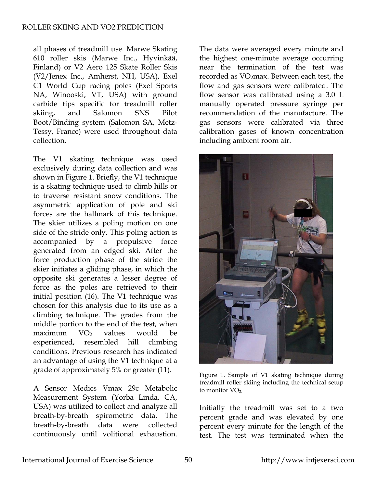all phases of treadmill use. Marwe Skating 610 roller skis (Marwe Inc., Hyvinkää, Finland) or V2 Aero 125 Skate Roller Skis (V2/Jenex Inc., Amherst, NH, USA), Exel C1 World Cup racing poles (Exel Sports NA, Winooski, VT, USA) with ground carbide tips specific for treadmill roller skiing, and Salomon SNS Pilot Boot/Binding system (Salomon SA, Metz-Tessy, France) were used throughout data collection.

The V1 skating technique was used exclusively during data collection and was shown in Figure 1. Briefly, the V1 technique is a skating technique used to climb hills or to traverse resistant snow conditions. The asymmetric application of pole and ski forces are the hallmark of this technique. The skier utilizes a poling motion on one side of the stride only. This poling action is accompanied by a propulsive force generated from an edged ski. After the force production phase of the stride the skier initiates a gliding phase, in which the opposite ski generates a lesser degree of force as the poles are retrieved to their initial position (16). The V1 technique was chosen for this analysis due to its use as a climbing technique. The grades from the middle portion to the end of the test, when  $maximum$   $VO<sub>2</sub>$  values would be experienced, resembled hill climbing conditions. Previous research has indicated an advantage of using the V1 technique at a grade of approximately 5% or greater (11).

A Sensor Medics Vmax 29c Metabolic Measurement System (Yorba Linda, CA, USA) was utilized to collect and analyze all breath-by-breath spirometric data. The breath-by-breath data were collected continuously until volitional exhaustion.

The data were averaged every minute and the highest one-minute average occurring near the termination of the test was recorded as VO<sub>2</sub>max. Between each test, the flow and gas sensors were calibrated. The flow sensor was calibrated using a 3.0 L manually operated pressure syringe per recommendation of the manufacture. The gas sensors were calibrated via three calibration gases of known concentration including ambient room air.



Figure 1. Sample of V1 skating technique during treadmill roller skiing including the technical setup to monitor  $VO<sub>2</sub>$ .

Initially the treadmill was set to a two percent grade and was elevated by one percent every minute for the length of the test. The test was terminated when the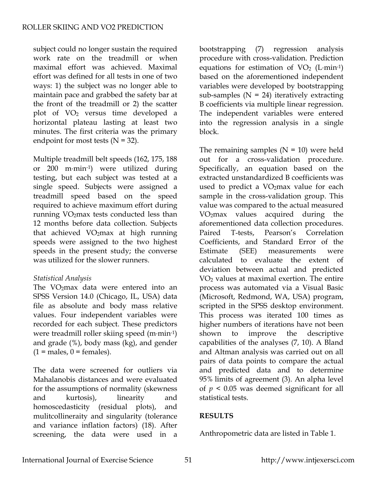subject could no longer sustain the required work rate on the treadmill or when maximal effort was achieved. Maximal effort was defined for all tests in one of two ways: 1) the subject was no longer able to maintain pace and grabbed the safety bar at the front of the treadmill or 2) the scatter plot of VO2 versus time developed a horizontal plateau lasting at least two minutes. The first criteria was the primary endpoint for most tests  $(N = 32)$ .

Multiple treadmill belt speeds (162, 175, 188 or 200 m⋅min-1) were utilized during testing, but each subject was tested at a single speed. Subjects were assigned a treadmill speed based on the speed required to achieve maximum effort during running VO2max tests conducted less than 12 months before data collection. Subjects that achieved VO2max at high running speeds were assigned to the two highest speeds in the present study; the converse was utilized for the slower runners.

## *Statistical Analysis*

The VO<sub>2</sub>max data were entered into an SPSS Version 14.0 (Chicago, IL, USA) data file as absolute and body mass relative values. Four independent variables were recorded for each subject. These predictors were treadmill roller skiing speed (m⋅min-1) and grade (%), body mass (kg), and gender  $(1 = males, 0 = females).$ 

The data were screened for outliers via Mahalanobis distances and were evaluated for the assumptions of normality (skewness and kurtosis), linearity and homoscedasticity (residual plots), and mulitcollineraity and singularity (tolerance and variance inflation factors) (18). After screening, the data were used in a

bootstrapping (7) regression analysis procedure with cross-validation. Prediction equations for estimation of  $VO<sub>2</sub>$  (L⋅min-1) based on the aforementioned independent variables were developed by bootstrapping sub-samples  $(N = 24)$  iteratively extracting B coefficients via multiple linear regression. The independent variables were entered into the regression analysis in a single block.

The remaining samples  $(N = 10)$  were held out for a cross-validation procedure. Specifically, an equation based on the extracted unstandardized B coefficients was used to predict a VO<sub>2</sub>max value for each sample in the cross-validation group. This value was compared to the actual measured VO2max values acquired during the aforementioned data collection procedures. Paired T-tests, Pearson's Correlation Coefficients, and Standard Error of the Estimate (SEE) measurements were calculated to evaluate the extent of deviation between actual and predicted VO2 values at maximal exertion. The entire process was automated via a Visual Basic (Microsoft, Redmond, WA, USA) program, scripted in the SPSS desktop environment. This process was iterated 100 times as higher numbers of iterations have not been shown to improve the descriptive capabilities of the analyses (7, 10). A Bland and Altman analysis was carried out on all pairs of data points to compare the actual and predicted data and to determine 95% limits of agreement (3). An alpha level of  $p < 0.05$  was deemed significant for all statistical tests.

## **RESULTS**

Anthropometric data are listed in Table 1.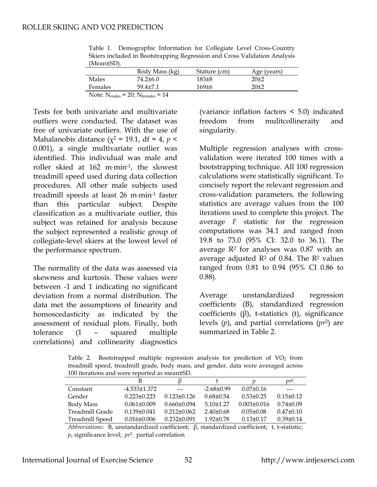| , witall <i>Lod</i> ,                                     |                |              |             |  |  |  |
|-----------------------------------------------------------|----------------|--------------|-------------|--|--|--|
|                                                           | Body Mass (kg) | Stature (cm) | Age (years) |  |  |  |
| Males                                                     | 74.2+6.0       | $183\pm8$    | 20±2        |  |  |  |
| Females                                                   | $59.4 + 7.1$   | $169 \pm 6$  | $20+2$      |  |  |  |
| Note: $N_{\text{males}} = 20$ ; $N_{\text{females}} = 14$ |                |              |             |  |  |  |

Table 1. Demographic Information for Collegiate Level Cross-Country Skiers included in Bootstrapping Regression and Cross Validation Analysis  $(M_{\text{cond}} + \text{CD})$ 

Tests for both univariate and multivariate outliers were conducted. The dataset was free of univariate outliers. With the use of Mahalanobis distance ( $\chi^2$  = 19.1, df = 4, *p* < 0.001), a single multivariate outlier was identified. This individual was male and roller skied at 162 m⋅min-1, the slowest treadmill speed used during data collection procedures. All other male subjects used treadmill speeds at least 26 m⋅min-1 faster than this particular subject. Despite classification as a multivariate outlier, this subject was retained for analysis because the subject represented a realistic group of collegiate-level skiers at the lowest level of the performance spectrum.

The normality of the data was assessed via skewness and kurtosis. These values were between -1 and 1 indicating no significant deviation from a normal distribution. The data met the assumptions of linearity and homoscedasticity as indicated by the assessment of residual plots. Finally, both tolerance (1 – squared multiple correlations) and collinearity diagnostics

(variance inflation factors < 5.0) indicated freedom from mulitcollineraity and singularity.

Multiple regression analyses with crossvalidation were iterated 100 times with a bootstrapping technique. All 100 regression calculations were statistically significant. To concisely report the relevant regression and cross-validation parameters, the following statistics are average values from the 100 iterations used to complete this project. The average *F* statistic for the regression computations was 34.1 and ranged from 19.8 to 73.0 (95% CI: 32.0 to 36.1). The average  $\mathbb{R}^2$  for analyses was 0.87 with an average adjusted  $R^2$  of 0.84. The  $R^2$  values ranged from 0.81 to 0.94 (95% CI 0.86 to 0.88).

Average unstandardized regression coefficients (B), standardized regression coefficients (β), t-statistics (t), significance levels (*p*), and partial correlations (*pr*2) are summarized in Table 2.

Table 2. Bootstrapped multiple regression analysis for prediction of  $VO<sub>2</sub>$  from treadmill speed, treadmill grade, body mass, and gender, data were averaged across 100 iterations and were reported as mean±SD.

|                        |                   |                        |                 |                 | $\mathbb{D}^2$  |
|------------------------|-------------------|------------------------|-----------------|-----------------|-----------------|
| Constant               | $-4.533\pm1.372$  | $\qquad \qquad \cdots$ | $-2.68\pm0.99$  | $0.07 \pm 0.16$ |                 |
| Gender                 | $0.223 \pm 0.223$ | $0.123 \pm 0.126$      | $0.68 \pm 0.54$ | $0.53 \pm 0.25$ | $0.15 \pm 0.12$ |
| <b>Body Mass</b>       | $0.061 \pm 0.009$ | $0.660 \pm 0.094$      | $5.10\pm1.27$   | $0.003\pm0.016$ | $0.74\pm0.09$   |
| Treadmill Grade        | $0.139 \pm 0.041$ | $0.212 \pm 0.062$      | $2.40\pm0.68$   | $0.05 \pm 0.08$ | $0.47\pm0.10$   |
| <b>Treadmill Speed</b> | $0.016 \pm 0.006$ | $0.232 \pm 0.091$      | $1.92 \pm 0.78$ | $0.13 \pm 0.17$ | $0.39 \pm 0.14$ |
|                        |                   |                        |                 |                 |                 |

*Abbreviations:* B, unstandardized coefficient; β, standardized coefficient; t, t-statistic; *p*, significance level; *pr*<sup>2</sup> , partial correlation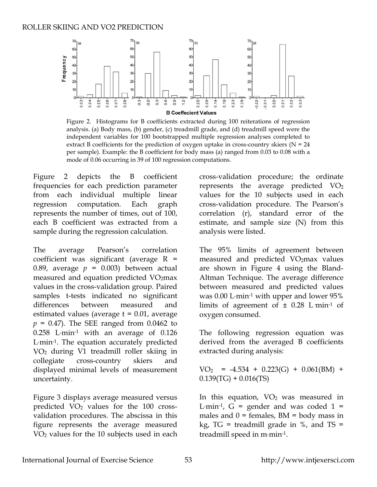

Figure 2. Histograms for B coefficients extracted during 100 reiterations of regression analysis. (a) Body mass, (b) gender, (c) treadmill grade, and (d) treadmill speed were the independent variables for 100 bootstrapped multiple regression analyses completed t o extract B coefficients for the prediction of oxygen uptake in cross-country skiers ( $N = 24$ per sample). Example: the B coefficient for body mass (a) ranged from 0.03 to 0.08 with a mode of 0.06 occurring in 39 of 100 regression computations.

Figure 2 depicts the B coefficient frequencies for each prediction parameter from each individual multiple linear regression computation. Each graph represents the number of times, out of 100, each B coefficient was extracted from a sample during the regression calculation.

The average Pearson's correlation coefficient was significant (average  $R =$ 0.89, average  $p = 0.003$ ) between actual measured and equation predicted VO2max values in the cross-validation group. Paired samples t-tests indicated no significant differences between measured and estimated values (average  $t = 0.01$ , average  $p = 0.47$ ). The SEE ranged from  $0.0462$  to 0.258 L⋅min-1 with an average of 0.126 L⋅min<sup>-1</sup>. The equation accurately predicted VO2 during V1 treadmill roller skiing in collegiate cross-country skiers and displayed minimal levels of measurement uncertainty.

Figure 3 displays average measured versus predicted  $VO<sub>2</sub>$  values for the 100 crossvalidation procedures. The abscissa in this figure represents the average measured VO2 values for the 10 subjects used in each cross-validation procedure; the ordinate represents the average predicted  $VO<sub>2</sub>$ values for the 10 subjects used in each cross-validation procedure. The Pearson's correlation (r), standard error of the estimate, and sample size (N) from this analysis were listed.

The 95% limits of agreement between measured and predicted VO<sub>2</sub>max values are shown in Figure 4 using the Bland-Altman Technique. The average difference between measured and predicted values was 0.00 L⋅min-1 with upper and lower 95% limits of agreement of  $\pm$  0.28 L min<sup>-1</sup> of oxygen consumed.

The following regression equation was derived from the averaged B coefficients extracted during analysis:

 $VO<sub>2</sub> = -4.534 + 0.223(G) + 0.061(BM) +$  $0.139(TG) + 0.016(TS)$ 

In this equation,  $VO<sub>2</sub>$  was measured in L $\cdot$ min<sup>-1</sup>, G = gender and was coded 1 = males and  $0 =$  females, BM = body mass in kg,  $TG =$  treadmill grade in %, and  $TS =$ treadmill speed in m⋅min-1.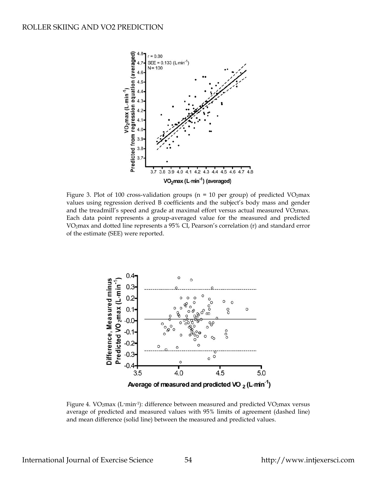

Figure 3. Plot of 100 cross-validation groups ( $n = 10$  per group) of predicted VO2max values using regression derived B coefficients and the subject's body mass and gender and the treadmill's speed and grade at maximal effort versus actual measured  $VO<sub>2</sub>$ max. Each data point represents a group-averaged value for the measured and predicted VO<sub>2</sub>max and dotted line represents a 95% CI, Pearson's correlation  $(r)$  and standard error of the estimate (SEE) were reported.



Figure 4. VO<sub>2</sub>max (L·min<sup>-1</sup>): difference between measured and predicted VO<sub>2</sub>max versus average of predicted and measured values with 95% limits of agreement (dashed line) and mean difference (solid line) between the measured and predicted values.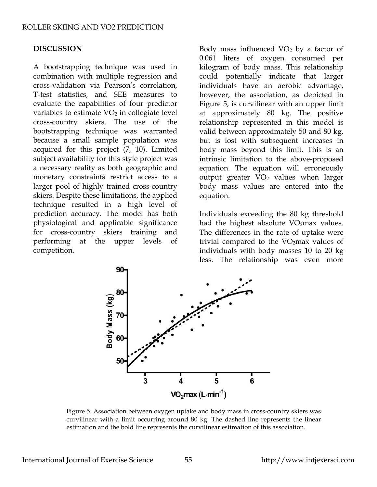### **DISCUSSION**

A bootstrapping technique was used in combination with multiple regression and cross-validation via Pearson's correlation, T-test statistics, and SEE measures to evaluate the capabilities of four predictor variables to estimate  $VO<sub>2</sub>$  in collegiate level cross-country skiers. The use of the bootstrapping technique was warranted because a small sample population was acquired for this project (7, 10). Limited subject availability for this style project was a necessary reality as both geographic and monetary constraints restrict access to a larger pool of highly trained cross-country skiers. Despite these limitations, the applied technique resulted in a high level of prediction accuracy. The model has both physiological and applicable significance for cross-country skiers training and performing at the upper levels of competition.

Body mass influenced  $VO<sub>2</sub>$  by a factor of 0.061 liters of oxygen consumed per kilogram of body mass. This relationship could potentially indicate that larger individuals have an aerobic advantage, however, the association, as depicted in Figure 5, is curvilinear with an upper limit at approximately 80 kg. The positive relationship represented in this model is valid between approximately 50 and 80 kg, but is lost with subsequent increases in body mass beyond this limit. This is an intrinsic limitation to the above-proposed equation. The equation will erroneously output greater  $VO<sub>2</sub>$  values when larger body mass values are entered into the equation.

Individuals exceeding the 80 kg threshold had the highest absolute  $VO<sub>2</sub>$ max values. The differences in the rate of uptake were trivial compared to the VO2max values of individuals with body masses 10 to 20 kg less. The relationship was even more



Figure 5. Association between oxygen uptake and body mass in cross-country skiers was curvilinear with a limit occurring around 80 kg. The dashed line represents the linear estimation and the bold line represents the curvilinear estimation of this association.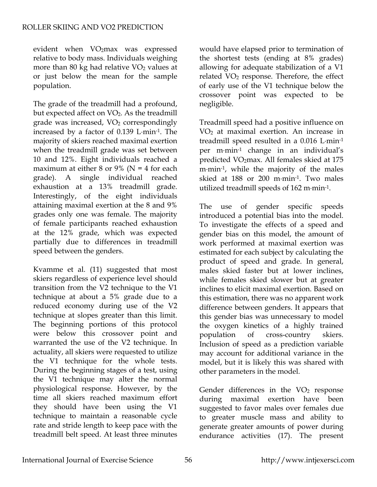evident when VO2max was expressed relative to body mass. Individuals weighing more than 80 kg had relative  $VO<sub>2</sub>$  values at or just below the mean for the sample population.

The grade of the treadmill had a profound, but expected affect on VO<sub>2</sub>. As the treadmill grade was increased, VO<sub>2</sub> correspondingly increased by a factor of 0.139 L⋅min-1. The majority of skiers reached maximal exertion when the treadmill grade was set between 10 and 12%. Eight individuals reached a maximum at either 8 or 9% ( $N = 4$  for each grade). A single individual reached exhaustion at a 13% treadmill grade. Interestingly, of the eight individuals attaining maximal exertion at the 8 and 9% grades only one was female. The majority of female participants reached exhaustion at the 12% grade, which was expected partially due to differences in treadmill speed between the genders.

Kvamme et al. (11) suggested that most skiers regardless of experience level should transition from the V2 technique to the V1 technique at about a 5% grade due to a reduced economy during use of the V2 technique at slopes greater than this limit. The beginning portions of this protocol were below this crossover point and warranted the use of the V2 technique. In actuality, all skiers were requested to utilize the V1 technique for the whole tests. During the beginning stages of a test, using the V1 technique may alter the normal physiological response. However, by the time all skiers reached maximum effort they should have been using the V1 technique to maintain a reasonable cycle rate and stride length to keep pace with the treadmill belt speed. At least three minutes

would have elapsed prior to termination of the shortest tests (ending at 8% grades) allowing for adequate stabilization of a V1 related VO<sub>2</sub> response. Therefore, the effect of early use of the V1 technique below the crossover point was expected to be negligible.

Treadmill speed had a positive influence on VO2 at maximal exertion. An increase in treadmill speed resulted in a 0.016 L⋅min-1 per m⋅min-1 change in an individual's predicted VO2max. All females skied at 175 m⋅min<sup>-1</sup>, while the majority of the males skied at 188 or 200 m⋅min-1. Two males utilized treadmill speeds of 162 m⋅min-1.

The use of gender specific speeds introduced a potential bias into the model. To investigate the effects of a speed and gender bias on this model, the amount of work performed at maximal exertion was estimated for each subject by calculating the product of speed and grade. In general, males skied faster but at lower inclines, while females skied slower but at greater inclines to elicit maximal exertion. Based on this estimation, there was no apparent work difference between genders. It appears that this gender bias was unnecessary to model the oxygen kinetics of a highly trained population of cross-country skiers. Inclusion of speed as a prediction variable may account for additional variance in the model, but it is likely this was shared with other parameters in the model.

Gender differences in the  $VO<sub>2</sub>$  response during maximal exertion have been suggested to favor males over females due to greater muscle mass and ability to generate greater amounts of power during endurance activities (17). The present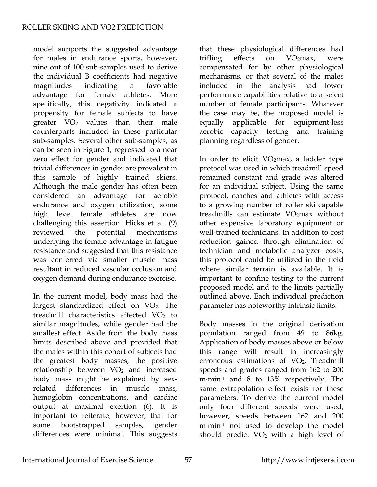model supports the suggested advantage for males in endurance sports, however, nine out of 100 sub-samples used to derive the individual B coefficients had negative magnitudes indicating a favorable advantage for female athletes. More specifically, this negativity indicated a propensity for female subjects to have greater  $VO<sub>2</sub>$  values than their male counterparts included in these particular sub-samples. Several other sub-samples, as can be seen in Figure 1, regressed to a near zero effect for gender and indicated that trivial differences in gender are prevalent in this sample of highly trained skiers. Although the male gender has often been considered an advantage for aerobic endurance and oxygen utilization, some high level female athletes are now challenging this assertion. Hicks et al. (9) reviewed the potential mechanisms underlying the female advantage in fatigue resistance and suggested that this resistance was conferred via smaller muscle mass resultant in reduced vascular occlusion and oxygen demand during endurance exercise.

In the current model, body mass had the largest standardized effect on  $VO<sub>2</sub>$ . The treadmill characteristics affected  $VO<sub>2</sub>$  to similar magnitudes, while gender had the smallest effect. Aside from the body mass limits described above and provided that the males within this cohort of subjects had the greatest body masses, the positive relationship between VO<sub>2</sub> and increased body mass might be explained by sexrelated differences in muscle mass, hemoglobin concentrations, and cardiac output at maximal exertion (6). It is important to reiterate, however, that for some bootstrapped samples, gender differences were minimal. This suggests

that these physiological differences had trifling effects on  $VO<sub>2</sub>max$ , were compensated for by other physiological mechanisms, or that several of the males included in the analysis had lower performance capabilities relative to a select number of female participants. Whatever the case may be, the proposed model is equally applicable for equipment-less aerobic capacity testing and training planning regardless of gender.

In order to elicit  $VO<sub>2</sub>$ max, a ladder type protocol was used in which treadmill speed remained constant and grade was altered for an individual subject. Using the same protocol, coaches and athletes with access to a growing number of roller ski capable treadmills can estimate VO<sub>2</sub>max without other expensive laboratory equipment or well-trained technicians. In addition to cost reduction gained through elimination of technician and metabolic analyzer costs, this protocol could be utilized in the field where similar terrain is available. It is important to confine testing to the current proposed model and to the limits partially outlined above. Each individual prediction parameter has noteworthy intrinsic limits.

Body masses in the original derivation population ranged from 49 to 86kg. Application of body masses above or below this range will result in increasingly erroneous estimations of  $VO<sub>2</sub>$ . Treadmill speeds and grades ranged from 162 to 200 m⋅min-1 and 8 to 13% respectively. The same extrapolation effect exists for these parameters. To derive the current model only four different speeds were used, however, speeds between 162 and 200 m⋅min-1 not used to develop the model should predict  $VO<sub>2</sub>$  with a high level of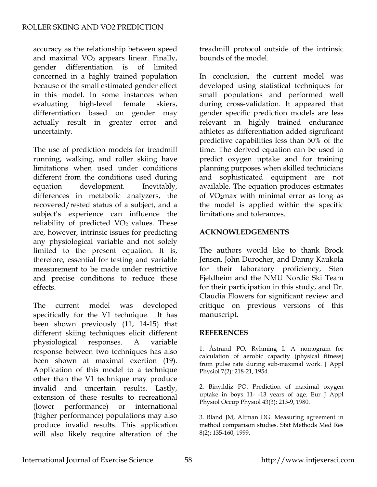accuracy as the relationship between speed and maximal VO<sub>2</sub> appears linear. Finally, gender differentiation is of limited concerned in a highly trained population because of the small estimated gender effect in this model. In some instances when evaluating high-level female skiers, differentiation based on gender may actually result in greater error and uncertainty.

The use of prediction models for treadmill running, walking, and roller skiing have limitations when used under conditions different from the conditions used during equation development. Inevitably, differences in metabolic analyzers, the recovered/rested status of a subject, and a subject's experience can influence the reliability of predicted  $VO<sub>2</sub>$  values. These are, however, intrinsic issues for predicting any physiological variable and not solely limited to the present equation. It is, therefore, essential for testing and variable measurement to be made under restrictive and precise conditions to reduce these effects.

The current model was developed specifically for the V1 technique. It has been shown previously (11, 14-15) that different skiing techniques elicit different physiological responses. A variable response between two techniques has also been shown at maximal exertion (19). Application of this model to a technique other than the V1 technique may produce invalid and uncertain results. Lastly, extension of these results to recreational (lower performance) or international (higher performance) populations may also produce invalid results. This application will also likely require alteration of the

treadmill protocol outside of the intrinsic bounds of the model.

In conclusion, the current model was developed using statistical techniques for small populations and performed well during cross-validation. It appeared that gender specific prediction models are less relevant in highly trained endurance athletes as differentiation added significant predictive capabilities less than 50% of the time. The derived equation can be used to predict oxygen uptake and for training planning purposes when skilled technicians and sophisticated equipment are not available. The equation produces estimates of VO2max with minimal error as long as the model is applied within the specific limitations and tolerances.

## **ACKNOWLEDGEMENTS**

The authors would like to thank Brock Jensen, John Durocher, and Danny Kaukola for their laboratory proficiency, Sten Fjeldheim and the NMU Nordic Ski Team for their participation in this study, and Dr. Claudia Flowers for significant review and critique on previous versions of this manuscript.

## **REFERENCES**

1. Åstrand PO, Ryhming I. A nomogram for calculation of aerobic capacity (physical fitness) from pulse rate during sub-maximal work. J Appl Physiol 7(2): 218-21, 1954.

2. Binyildiz PO. Prediction of maximal oxygen uptake in boys 11- -13 years of age. Eur J Appl Physiol Occup Physiol 43(3): 213-9, 1980.

3. Bland JM, Altman DG. Measuring agreement in method comparison studies. Stat Methods Med Res 8(2): 135-160, 1999.